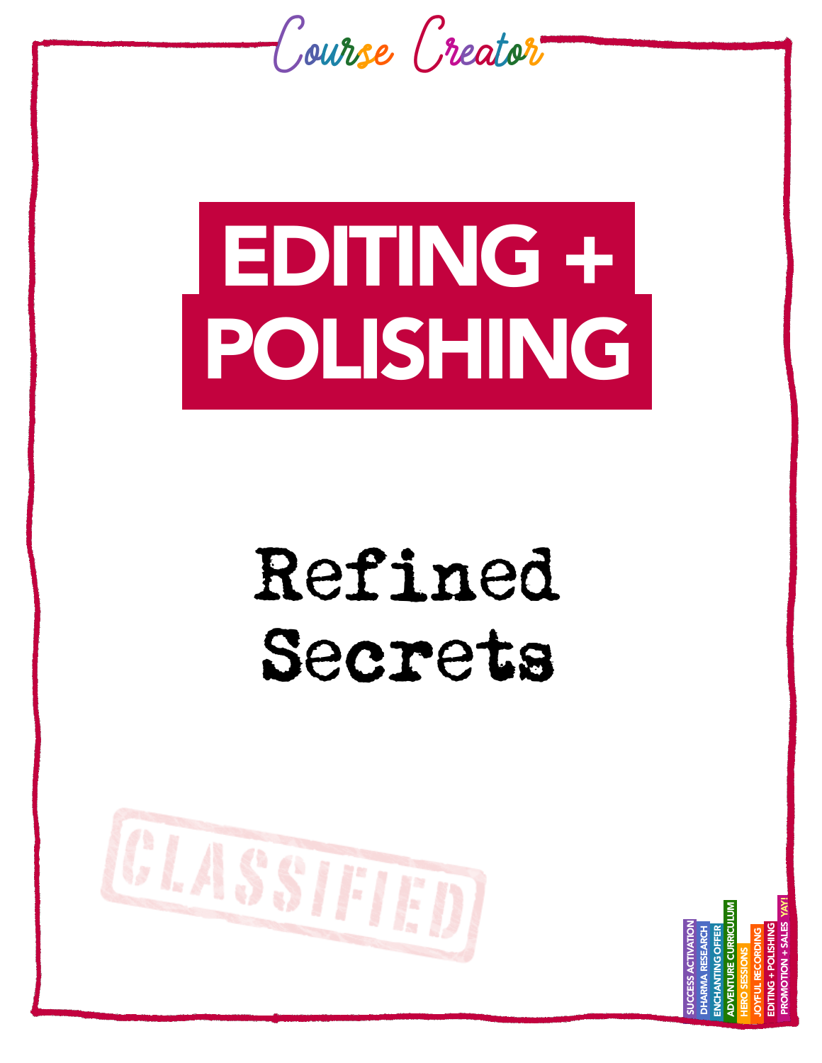

# EDITING + POLISHING

## Refined Secrets



 PROMOTION + SALES YAY! ADVENTURE CURRICULUM **/ENTURE CURRICULUM**  SUCCESS ACTIVATION EDITING + POLISHING DHARMA RESEARCH ENCHANTING OFFER JOYFUL RECORDING HERO SESSIONS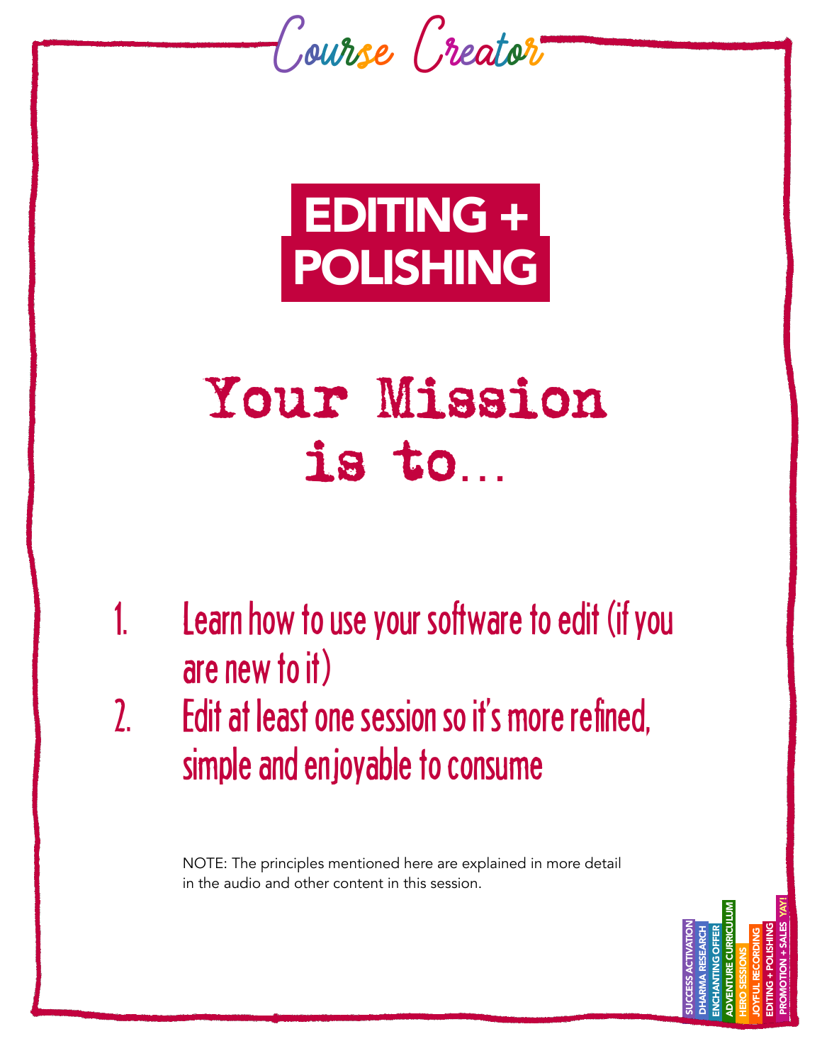



### Your Mission is to…

- 1. Learn how to use your software to edit (if you are new to it) 2. Edit at least one session so it's more refined,
- simple and enjoyable to consume

NOTE: The principles mentioned here are explained in more detail in the audio and other content in this session.

> SUCCESS ACTIVATION DHARMA RESEARCH ENCHANTING OFFER ADVENTURE CURRICULUM HERO SESSIONS JOYFUL RECORDING EDITING + POLISHING PROMOTION + SALES YAY!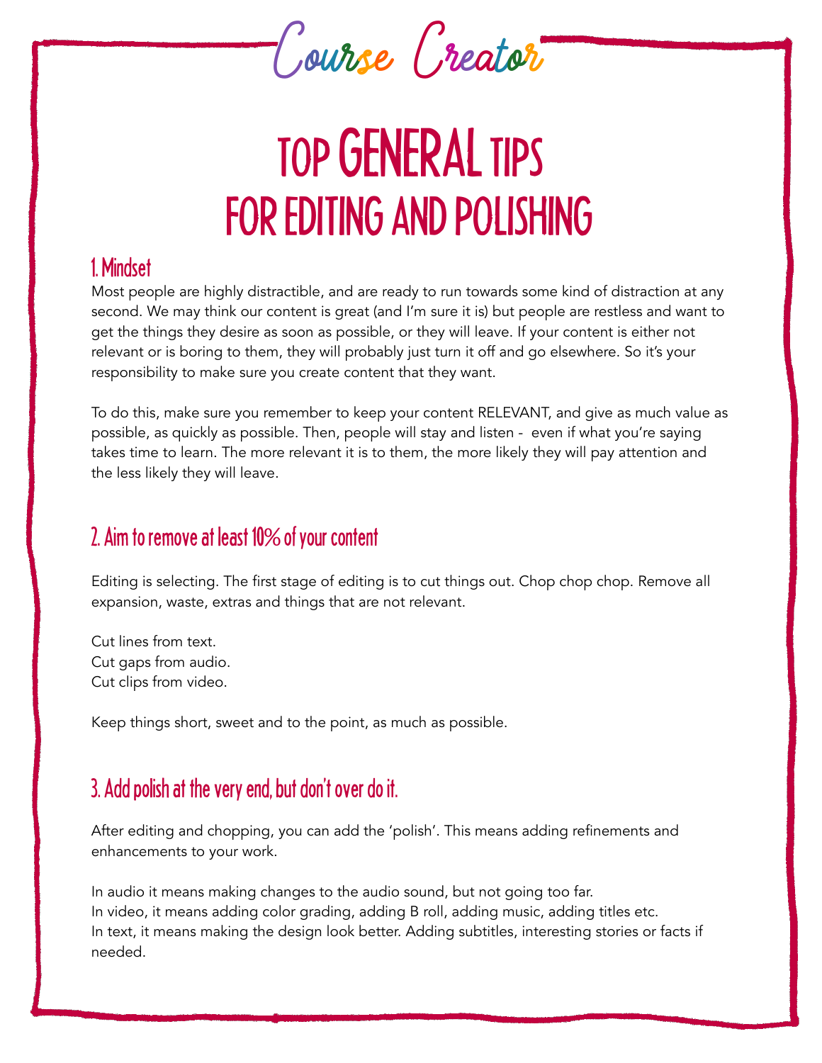

### TOP GENERAL TIPS FOR EDITING AND POLISHING

#### 1. Mindset

Most people are highly distractible, and are ready to run towards some kind of distraction at any second. We may think our content is great (and I'm sure it is) but people are restless and want to get the things they desire as soon as possible, or they will leave. If your content is either not relevant or is boring to them, they will probably just turn it off and go elsewhere. So it's your responsibility to make sure you create content that they want.

To do this, make sure you remember to keep your content RELEVANT, and give as much value as possible, as quickly as possible. Then, people will stay and listen - even if what you're saying takes time to learn. The more relevant it is to them, the more likely they will pay attention and the less likely they will leave.

### 2. Aim to remove at least 10% of your content

Editing is selecting. The first stage of editing is to cut things out. Chop chop chop. Remove all expansion, waste, extras and things that are not relevant.

Cut lines from text. Cut gaps from audio. Cut clips from video.

Keep things short, sweet and to the point, as much as possible.

### 3. Add polish at the very end, but don't over do it.

After editing and chopping, you can add the 'polish'. This means adding refinements and enhancements to your work.

In audio it means making changes to the audio sound, but not going too far. In video, it means adding color grading, adding B roll, adding music, adding titles etc. In text, it means making the design look better. Adding subtitles, interesting stories or facts if needed.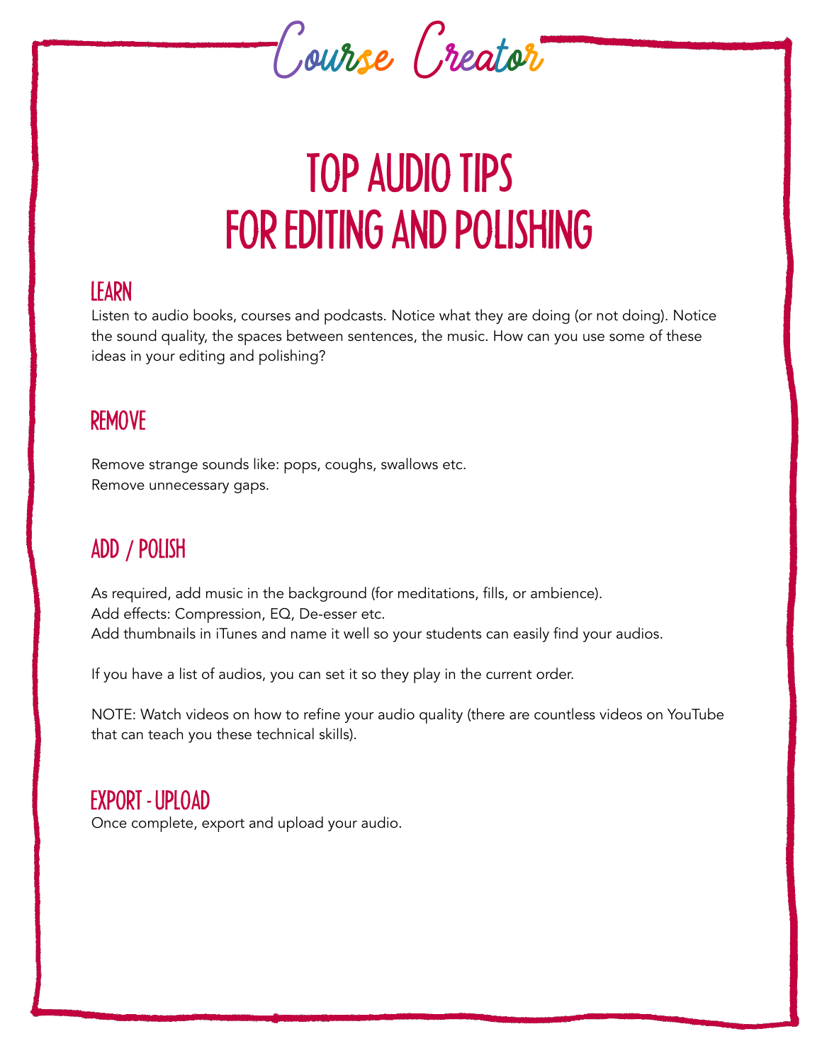

### TOP AUDIO TIPS FOR EDITING AND POLISHING

#### LEARN

Listen to audio books, courses and podcasts. Notice what they are doing (or not doing). Notice the sound quality, the spaces between sentences, the music. How can you use some of these ideas in your editing and polishing?

### REMOVE

Remove strange sounds like: pops, coughs, swallows etc. Remove unnecessary gaps.

### ADD / POLISH

As required, add music in the background (for meditations, fills, or ambience). Add effects: Compression, EQ, De-esser etc. Add thumbnails in iTunes and name it well so your students can easily find your audios.

If you have a list of audios, you can set it so they play in the current order.

NOTE: Watch videos on how to refine your audio quality (there are countless videos on YouTube that can teach you these technical skills).

### EXPORT - UPLOAD

Once complete, export and upload your audio.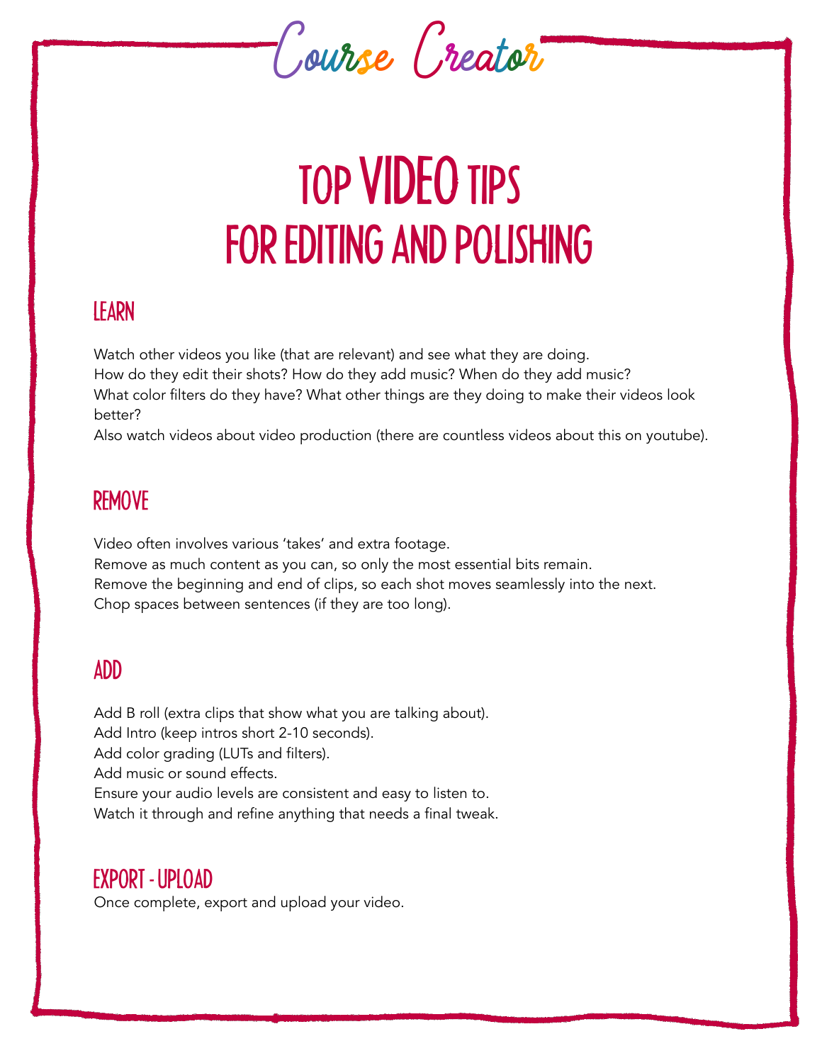

### TOP VIDEO TIPS FOR EDITING AND POLISHING

### LEARN

Watch other videos you like (that are relevant) and see what they are doing. How do they edit their shots? How do they add music? When do they add music? What color filters do they have? What other things are they doing to make their videos look better?

Also watch videos about video production (there are countless videos about this on youtube).

### REMOVE

Video often involves various 'takes' and extra footage. Remove as much content as you can, so only the most essential bits remain. Remove the beginning and end of clips, so each shot moves seamlessly into the next. Chop spaces between sentences (if they are too long).

### ADD

Add B roll (extra clips that show what you are talking about). Add Intro (keep intros short 2-10 seconds). Add color grading (LUTs and filters). Add music or sound effects. Ensure your audio levels are consistent and easy to listen to. Watch it through and refine anything that needs a final tweak.

#### EXPORT - UPLOAD

Once complete, export and upload your video.